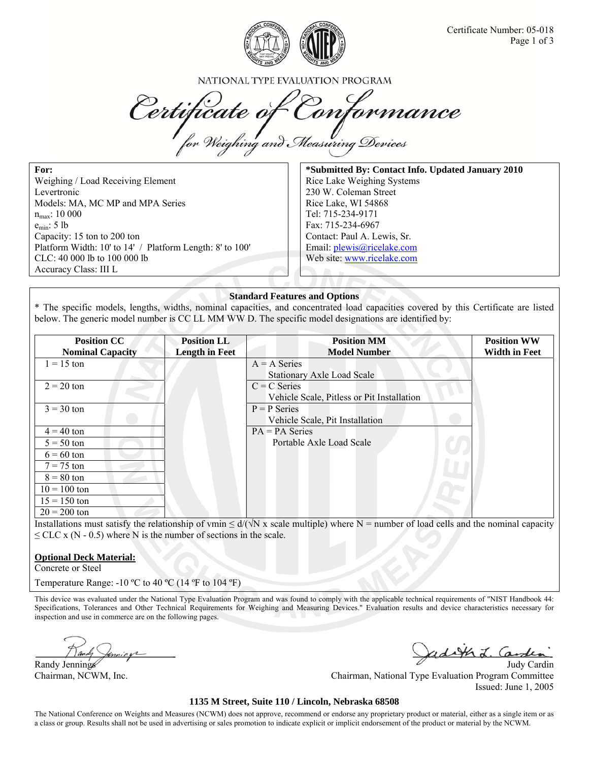

NATIONAL TYPE EVALUATION PROGRAM

Certificate of Conformance

**For:**  Weighing / Load Receiving Element Levertronic Models: MA, MC MP and MPA Series  $n_{max}$ : 10 000 emin: 5 lb Capacity: 15 ton to 200 ton Platform Width: 10' to 14' / Platform Length: 8' to 100' CLC: 40 000 lb to 100 000 lb Accuracy Class: III L

**\*Submitted By: Contact Info. Updated January 2010**  Rice Lake Weighing Systems 230 W. Coleman Street Rice Lake, WI 54868 Tel: 715-234-9171 Fax: 715-234-6967 Contact: Paul A. Lewis, Sr. Email: plewis@ricelake.com Web site: www.ricelake.com

#### **Standard Features and Options**

\* The specific models, lengths, widths, nominal capacities, and concentrated load capacities covered by this Certificate are listed below. The generic model number is CC LL MM WW D. The specific model designations are identified by:

| <b>Position CC</b>      | <b>Position LL</b>    | <b>Position MM</b>                         | <b>Position WW</b>   |
|-------------------------|-----------------------|--------------------------------------------|----------------------|
| <b>Nominal Capacity</b> | <b>Length in Feet</b> | <b>Model Number</b>                        | <b>Width in Feet</b> |
| $1 = 15$ ton            |                       | $A = A$ Series                             |                      |
|                         |                       | <b>Stationary Axle Load Scale</b>          |                      |
| $2 = 20$ ton            |                       | $C = C$ Series                             |                      |
|                         |                       | Vehicle Scale, Pitless or Pit Installation |                      |
| $3 = 30$ ton            |                       | $P = P$ Series                             |                      |
|                         |                       | Vehicle Scale, Pit Installation            |                      |
| $4 = 40$ ton            |                       | $PA = PA$ Series                           |                      |
| $5 = 50$ ton            |                       | Portable Axle Load Scale                   |                      |
| $6 = 60$ ton            |                       |                                            |                      |
| $7 = 75$ ton            |                       |                                            |                      |
| $8 = 80$ ton            |                       |                                            |                      |
| $10 = 100$ ton          |                       |                                            |                      |
| $15 = 150$ ton          |                       |                                            |                      |
| $20 = 200$ ton          |                       |                                            |                      |

Installations must satisfy the relationship of vmin  $\leq d/(\sqrt{N} \times \text{scale}$  multiple) where N = number of load cells and the nominal capacity  $\leq$  CLC x (N - 0.5) where N is the number of sections in the scale.

### **Optional Deck Material:**

Concrete or Steel

Temperature Range: -10 °C to 40 °C (14 °F to 104 °F)

This device was evaluated under the National Type Evaluation Program and was found to comply with the applicable technical requirements of "NIST Handbook 44: Specifications, Tolerances and Other Technical Requirements for Weighing and Measuring Devices." Evaluation results and device characteristics necessary for inspection and use in commerce are on the following pages.

inning

Randy Jennings and Summer Communications of the Communication of the Communication of the Communication of the Summer Communication of the Summer Communication of the Summer Communication of the Summer Communication of the Chairman, NCWM, Inc. Chairman, National Type Evaluation Program Committee Issued: June 1, 2005

#### **1135 M Street, Suite 110 / Lincoln, Nebraska 68508**

The National Conference on Weights and Measures (NCWM) does not approve, recommend or endorse any proprietary product or material, either as a single item or as a class or group. Results shall not be used in advertising or sales promotion to indicate explicit or implicit endorsement of the product or material by the NCWM.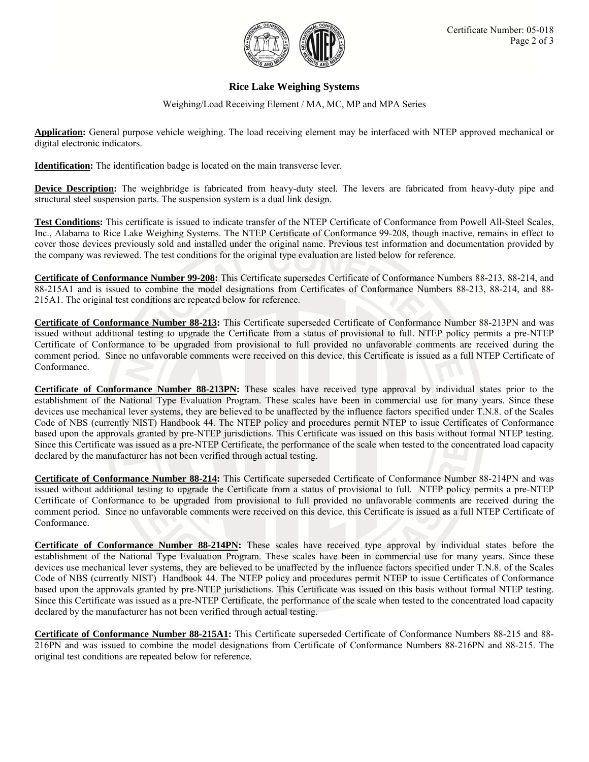

## **Rice Lake Weighing Systems**

Weighing/Load Receiving Element / MA, MC, MP and MPA Series

**Application:** General purpose vehicle weighing. The load receiving element may be interfaced with NTEP approved mechanical or digital electronic indicators.

**Identification:** The identification badge is located on the main transverse lever.

**Device Description:** The weighbridge is fabricated from heavy-duty steel. The levers are fabricated from heavy-duty pipe and structural steel suspension parts. The suspension system is a dual link design.

**Test Conditions:** This certificate is issued to indicate transfer of the NTEP Certificate of Conformance from Powell All-Steel Scales, Inc., Alabama to Rice Lake Weighing Systems. The NTEP Certificate of Conformance 99-208, though inactive, remains in effect to cover those devices previously sold and installed under the original name. Previous test information and documentation provided by the company was reviewed. The test conditions for the original type evaluation are listed below for reference.

**Certificate of Conformance Number 99-208:** This Certificate supersedes Certificate of Conformance Numbers 88-213, 88-214, and 88-215A1 and is issued to combine the model designations from Certificates of Conformance Numbers 88-213, 88-214, and 88- 215A1. The original test conditions are repeated below for reference.

**Certificate of Conformance Number 88-213:** This Certificate superseded Certificate of Conformance Number 88-213PN and was issued without additional testing to upgrade the Certificate from a status of provisional to full. NTEP policy permits a pre-NTEP Certificate of Conformance to be upgraded from provisional to full provided no unfavorable comments are received during the comment period. Since no unfavorable comments were received on this device, this Certificate is issued as a full NTEP Certificate of Conformance.

**Certificate of Conformance Number 88-213PN:** These scales have received type approval by individual states prior to the establishment of the National Type Evaluation Program. These scales have been in commercial use for many years. Since these devices use mechanical lever systems, they are believed to be unaffected by the influence factors specified under T.N.8. of the Scales Code of NBS (currently NIST) Handbook 44. The NTEP policy and procedures permit NTEP to issue Certificates of Conformance based upon the approvals granted by pre-NTEP jurisdictions. This Certificate was issued on this basis without formal NTEP testing. Since this Certificate was issued as a pre-NTEP Certificate, the performance of the scale when tested to the concentrated load capacity declared by the manufacturer has not been verified through actual testing.

**Certificate of Conformance Number 88-214:** This Certificate superseded Certificate of Conformance Number 88-214PN and was issued without additional testing to upgrade the Certificate from a status of provisional to full. NTEP policy permits a pre-NTEP Certificate of Conformance to be upgraded from provisional to full provided no unfavorable comments are received during the comment period. Since no unfavorable comments were received on this device, this Certificate is issued as a full NTEP Certificate of Conformance.

**Certificate of Conformance Number 88-214PN:** These scales have received type approval by individual states before the establishment of the National Type Evaluation Program. These scales have been in commercial use for many years. Since these devices use mechanical lever systems, they are believed to be unaffected by the influence factors specified under T.N.8. of the Scales Code of NBS (currently NIST) Handbook 44. The NTEP policy and procedures permit NTEP to issue Certificates of Conformance based upon the approvals granted by pre-NTEP jurisdictions. This Certificate was issued on this basis without formal NTEP testing. Since this Certificate was issued as a pre-NTEP Certificate, the performance of the scale when tested to the concentrated load capacity declared by the manufacturer has not been verified through actual testing.

**Certificate of Conformance Number 88-215A1:** This Certificate superseded Certificate of Conformance Numbers 88-215 and 88- 216PN and was issued to combine the model designations from Certificate of Conformance Numbers 88-216PN and 88-215. The original test conditions are repeated below for reference.